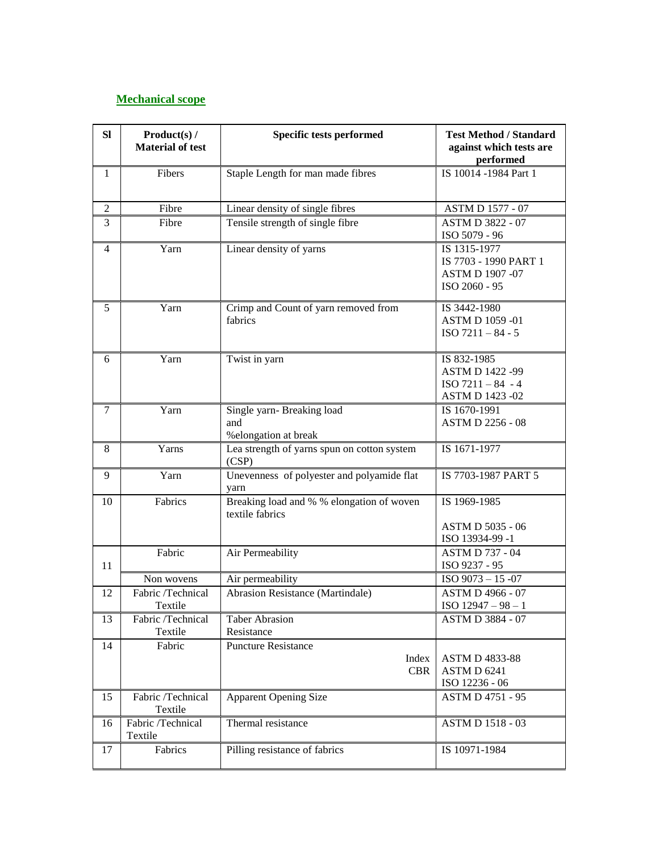## **Mechanical scope**

| SI             | Product(s) /<br><b>Material of test</b> | Specific tests performed                                     | <b>Test Method / Standard</b><br>against which tests are<br>performed           |
|----------------|-----------------------------------------|--------------------------------------------------------------|---------------------------------------------------------------------------------|
| 1              | Fibers                                  | Staple Length for man made fibres                            | IS 10014 -1984 Part 1                                                           |
| 2              | Fibre                                   | Linear density of single fibres                              | ASTM D 1577 - 07                                                                |
| 3              | Fibre                                   | Tensile strength of single fibre                             | <b>ASTM D 3822 - 07</b><br>ISO 5079 - 96                                        |
| $\overline{4}$ | Yarn                                    | Linear density of yarns                                      | IS 1315-1977<br>IS 7703 - 1990 PART 1<br>ASTM D 1907 -07<br>ISO 2060 - 95       |
| 5              | Yarn                                    | Crimp and Count of yarn removed from<br>fabrics              | IS 3442-1980<br>ASTM D 1059 -01<br>$ISO 7211 - 84 - 5$                          |
| 6              | Yarn                                    | Twist in yarn                                                | IS 832-1985<br><b>ASTM D 1422 -99</b><br>$ISO 7211 - 84 - 4$<br>ASTM D 1423 -02 |
| $\tau$         | Yarn                                    | Single yarn- Breaking load<br>and<br>%elongation at break    | IS 1670-1991<br><b>ASTM D 2256 - 08</b>                                         |
| 8              | Yarns                                   | Lea strength of yarns spun on cotton system<br>(CSP)         | IS 1671-1977                                                                    |
| 9              | Yarn                                    | Unevenness of polyester and polyamide flat<br>varn           | IS 7703-1987 PART 5                                                             |
| 10             | Fabrics                                 | Breaking load and % % elongation of woven<br>textile fabrics | IS 1969-1985                                                                    |
|                |                                         |                                                              | ASTM D 5035 - 06<br>ISO 13934-99-1                                              |
| 11             | Fabric                                  | Air Permeability                                             | <b>ASTM D 737 - 04</b><br>ISO 9237 - 95                                         |
|                | Non wovens                              | Air permeability                                             | ISO 9073 - 15 -07                                                               |
| 12             | Fabric /Technical<br>Textile            | Abrasion Resistance (Martindale)                             | ASTM D 4966 - 07<br>ISO $12947 - 98 - 1$                                        |
| 13             | Fabric /Technical<br>Textile            | <b>Taber Abrasion</b><br>Resistance                          | <b>ASTM D 3884 - 07</b>                                                         |
| 14             | Fabric                                  | <b>Puncture Resistance</b><br>Index<br><b>CBR</b>            | <b>ASTM D 4833-88</b><br>ASTM D 6241<br>ISO 12236 - 06                          |
| 15             | Fabric /Technical<br>Textile            | <b>Apparent Opening Size</b>                                 | <b>ASTM D 4751 - 95</b>                                                         |
| 16             | Fabric /Technical<br>Textile            | Thermal resistance                                           | ASTM D 1518 - 03                                                                |
| 17             | Fabrics                                 | Pilling resistance of fabrics                                | IS 10971-1984                                                                   |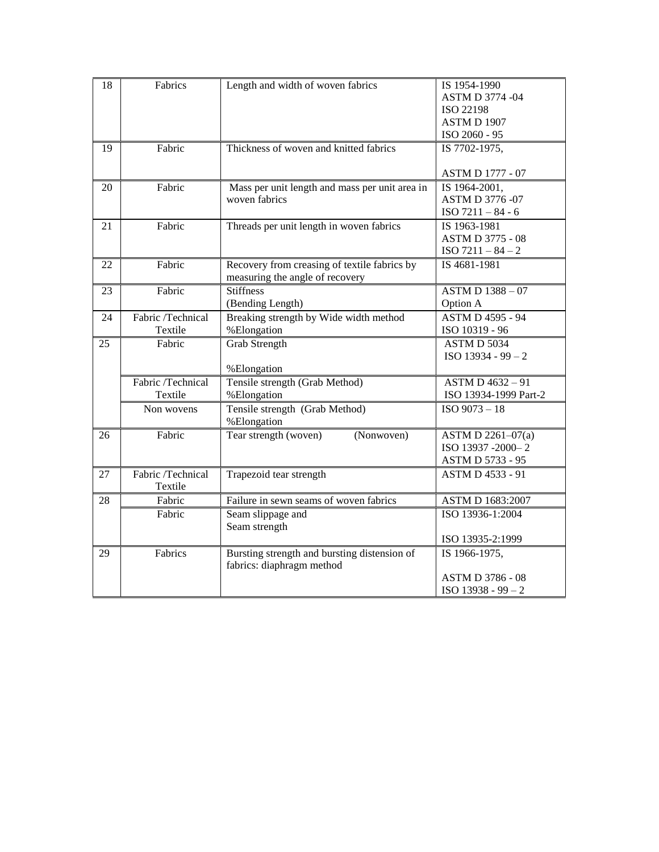| 18 | Fabrics           | Length and width of woven fabrics              | IS 1954-1990            |
|----|-------------------|------------------------------------------------|-------------------------|
|    |                   |                                                | ASTM D 3774 -04         |
|    |                   |                                                | ISO 22198               |
|    |                   |                                                | <b>ASTM D 1907</b>      |
|    |                   |                                                | ISO 2060 - 95           |
| 19 | Fabric            | Thickness of woven and knitted fabrics         | IS 7702-1975,           |
|    |                   |                                                |                         |
|    |                   |                                                | <b>ASTM D 1777 - 07</b> |
| 20 | Fabric            | Mass per unit length and mass per unit area in | IS 1964-2001,           |
|    |                   | woven fabrics                                  | <b>ASTM D 3776 -07</b>  |
|    |                   |                                                | ISO $7211 - 84 - 6$     |
| 21 | Fabric            | Threads per unit length in woven fabrics       | IS 1963-1981            |
|    |                   |                                                | <b>ASTM D 3775 - 08</b> |
|    |                   |                                                | $ISO 7211 - 84 - 2$     |
| 22 | Fabric            | Recovery from creasing of textile fabrics by   | IS 4681-1981            |
|    |                   | measuring the angle of recovery                |                         |
| 23 | Fabric            | <b>Stiffness</b>                               | ASTM D 1388-07          |
|    |                   | (Bending Length)                               | Option A                |
| 24 | Fabric /Technical | Breaking strength by Wide width method         | <b>ASTM D 4595 - 94</b> |
|    | Textile           | %Elongation                                    | ISO 10319 - 96          |
| 25 | Fabric            | <b>Grab Strength</b>                           | ASTM D 5034             |
|    |                   |                                                | $ISO$ 13934 - 99 - 2    |
|    |                   | %Elongation                                    |                         |
|    | Fabric /Technical | Tensile strength (Grab Method)                 | ASTM D 4632-91          |
|    | Textile           | %Elongation                                    | ISO 13934-1999 Part-2   |
|    | Non wovens        | Tensile strength (Grab Method)                 | ISO 9073-18             |
|    |                   | %Elongation                                    |                         |
| 26 | Fabric            | Tear strength (woven)<br>(Nonwoven)            | ASTM D 2261-07(a)       |
|    |                   |                                                | ISO 13937 -2000-2       |
|    |                   |                                                | ASTM D 5733 - 95        |
| 27 | Fabric /Technical | Trapezoid tear strength                        | <b>ASTM D 4533 - 91</b> |
|    | Textile           |                                                |                         |
| 28 | Fabric            | Failure in sewn seams of woven fabrics         | ASTM D 1683:2007        |
|    | Fabric            | Seam slippage and                              | ISO 13936-1:2004        |
|    |                   | Seam strength                                  |                         |
|    |                   |                                                | ISO 13935-2:1999        |
| 29 | Fabrics           | Bursting strength and bursting distension of   | IS 1966-1975,           |
|    |                   | fabrics: diaphragm method                      |                         |
|    |                   |                                                | ASTM D 3786 - 08        |
|    |                   |                                                | ISO 13938 - 99 - 2      |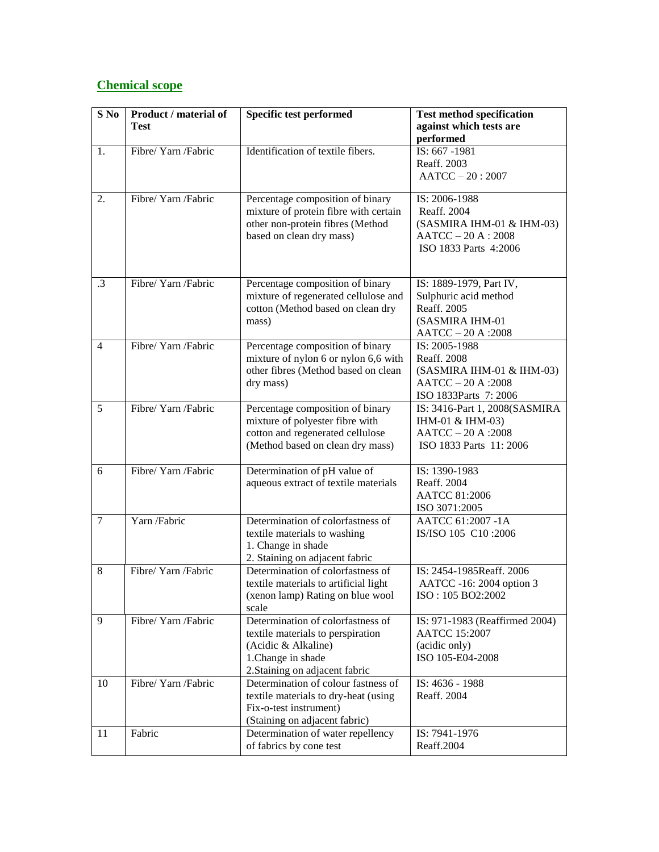## **Chemical scope**

| $S$ No         | Product / material of<br><b>Test</b> | <b>Specific test performed</b>                                                                                                                        | <b>Test method specification</b><br>against which tests are<br>performed                                    |
|----------------|--------------------------------------|-------------------------------------------------------------------------------------------------------------------------------------------------------|-------------------------------------------------------------------------------------------------------------|
| 1.             | Fibre/ Yarn /Fabric                  | Identification of textile fibers.                                                                                                                     | IS: 667 -1981<br>Reaff. 2003<br>$AATCC - 20: 2007$                                                          |
| 2.             | Fibre/ Yarn /Fabric                  | Percentage composition of binary<br>mixture of protein fibre with certain<br>other non-protein fibres (Method<br>based on clean dry mass)             | IS: 2006-1988<br>Reaff. 2004<br>(SASMIRA IHM-01 & IHM-03)<br>$AATCC - 20 A : 2008$<br>ISO 1833 Parts 4:2006 |
| $\cdot$ 3      | Fibre/ Yarn /Fabric                  | Percentage composition of binary<br>mixture of regenerated cellulose and<br>cotton (Method based on clean dry<br>mass)                                | IS: 1889-1979, Part IV,<br>Sulphuric acid method<br>Reaff. 2005<br>(SASMIRA IHM-01<br>AATCC - 20 A : 2008   |
| $\overline{4}$ | Fibre/ Yarn /Fabric                  | Percentage composition of binary<br>mixture of nylon 6 or nylon 6,6 with<br>other fibres (Method based on clean<br>dry mass)                          | IS: 2005-1988<br>Reaff. 2008<br>(SASMIRA IHM-01 & IHM-03)<br>AATCC-20 A:2008<br>ISO 1833Parts 7: 2006       |
| $\overline{5}$ | Fibre/ Yarn /Fabric                  | Percentage composition of binary<br>mixture of polyester fibre with<br>cotton and regenerated cellulose<br>(Method based on clean dry mass)           | IS: 3416-Part 1, 2008(SASMIRA<br>IHM-01 & IHM-03)<br>AATCC-20 A:2008<br>ISO 1833 Parts 11: 2006             |
| 6              | Fibre/ Yarn /Fabric                  | Determination of pH value of<br>aqueous extract of textile materials                                                                                  | IS: 1390-1983<br>Reaff. 2004<br>AATCC 81:2006<br>ISO 3071:2005                                              |
| $\overline{7}$ | Yarn /Fabric                         | Determination of colorfastness of<br>textile materials to washing<br>1. Change in shade<br>2. Staining on adjacent fabric                             | AATCC 61:2007 -1A<br>IS/ISO 105 C10:2006                                                                    |
| 8              | Fibre/ Yarn /Fabric                  | Determination of colorfastness of<br>textile materials to artificial light<br>(xenon lamp) Rating on blue wool<br>scale                               | IS: 2454-1985Reaff. 2006<br>AATCC -16: 2004 option 3<br>ISO: 105 BO2:2002                                   |
| 9              | Fibre/ Yarn /Fabric                  | Determination of colorfastness of<br>textile materials to perspiration<br>(Acidic & Alkaline)<br>1. Change in shade<br>2. Staining on adjacent fabric | IS: 971-1983 (Reaffirmed 2004)<br><b>AATCC 15:2007</b><br>(acidic only)<br>ISO 105-E04-2008                 |
| 10             | Fibre/ Yarn /Fabric                  | Determination of colour fastness of<br>textile materials to dry-heat (using<br>Fix-o-test instrument)<br>(Staining on adjacent fabric)                | IS: 4636 - 1988<br>Reaff. 2004                                                                              |
| 11             | Fabric                               | Determination of water repellency<br>of fabrics by cone test                                                                                          | IS: 7941-1976<br>Reaff.2004                                                                                 |